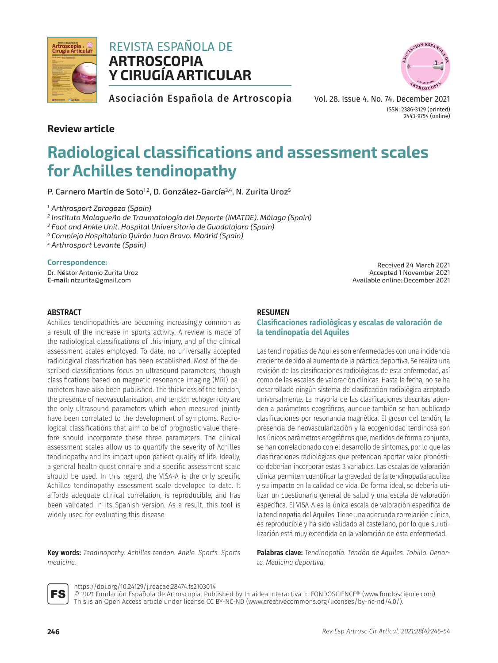

## REVISTA ESPAÑOLA DE **ARTROSCOPIA Y CIRUGÍA ARTICULAR**



Asociación Española de Artroscopia

Vol. 28. Issue 4. No. 74. December 2021 ISSN: 2386-3129 (printed) 2443-9754 (online)

## **Review article**

# **Radiological classifications and assessment scales for Achilles tendinopathy**

P. Carnero Martín de Soto<sup>1,2</sup>, D. González-García<sup>3,4</sup>, N. Zurita Uroz<sup>5</sup>

*<sup>1</sup> Arthrosport Zaragoza (Spain)*

*<sup>2</sup> Instituto Malagueño de Traumatología del Deporte (IMATDE). Málaga (Spain)*

*<sup>3</sup> Foot and Ankle Unit. Hospital Universitario de Guadalajara (Spain)*

*<sup>4</sup> Complejo Hospitalario Quirón Juan Bravo. Madrid (Spain)*

*<sup>5</sup> Arthrosport Levante (Spain)*

## **Correspondence:**

Dr. Néstor Antonio Zurita Uroz **E-mail:** [ntzurita@gmail.com](mailto:ntzurita%40gmail.com?subject=)

## **ABSTRACT**

Achilles tendinopathies are becoming increasingly common as a result of the increase in sports activity. A review is made of the radiological classifications of this injury, and of the clinical assessment scales employed. To date, no universally accepted radiological classification has been established. Most of the described classifications focus on ultrasound parameters, though classifications based on magnetic resonance imaging (MRI) parameters have also been published. The thickness of the tendon, the presence of neovascularisation, and tendon echogenicity are the only ultrasound parameters which when measured jointly have been correlated to the development of symptoms. Radiological classifications that aim to be of prognostic value therefore should incorporate these three parameters. The clinical assessment scales allow us to quantify the severity of Achilles tendinopathy and its impact upon patient quality of life. Ideally, a general health questionnaire and a specific assessment scale should be used. In this regard, the VISA-A is the only specific Achilles tendinopathy assessment scale developed to date. It affords adequate clinical correlation, is reproducible, and has been validated in its Spanish version. As a result, this tool is widely used for evaluating this disease.

**Key words:** *Tendinopathy. Achilles tendon. Ankle. Sports. Sports medicine.*

Received 24 March 2021 Accepted 1 November 2021 Available online: December 2021

## **RESUMEN**

## **Clasificaciones radiológicas y escalas de valoración de la tendinopatía del Aquiles**

Las tendinopatías de Aquiles son enfermedades con una incidencia creciente debido al aumento de la práctica deportiva. Se realiza una revisión de las clasificaciones radiológicas de esta enfermedad, así como de las escalas de valoración clínicas. Hasta la fecha, no se ha desarrollado ningún sistema de clasificación radiológica aceptado universalmente. La mayoría de las clasificaciones descritas atienden a parámetros ecográficos, aunque también se han publicado clasificaciones por resonancia magnética. El grosor del tendón, la presencia de neovascularización y la ecogenicidad tendinosa son los únicos parámetros ecográficos que, medidos de forma conjunta, se han correlacionado con el desarrollo de síntomas, por lo que las clasificaciones radiológicas que pretendan aportar valor pronóstico deberían incorporar estas 3 variables. Las escalas de valoración clínica permiten cuantificar la gravedad de la tendinopatía aquílea y su impacto en la calidad de vida. De forma ideal, se debería utilizar un cuestionario general de salud y una escala de valoración específica. El VISA-A es la única escala de valoración específica de la tendinopatía del Aquiles. Tiene una adecuada correlación clínica, es reproducible y ha sido validado al castellano, por lo que su utilización está muy extendida en la valoración de esta enfermedad.

**Palabras clave:** *Tendinopatía. Tendón de Aquiles. Tobillo. Deporte. Medicina deportiva.*



[https://doi.org/10.24129/j.reacae.28474.fs2](https://doi.org/10.24129/j.reacae.28474.fs2103014)103014

© 2021 Fundación Española de Artroscopia. Published by Imaidea Interactiva in FONDOSCIENCE® (<www.fondoscience.com>). This is an Open Access article under license CC BY-NC-ND (www[.creativecommons.org/licenses/by-nc-nd/4.0/](www.creativecommons.org/licenses/by-nc-nd/4.0/)).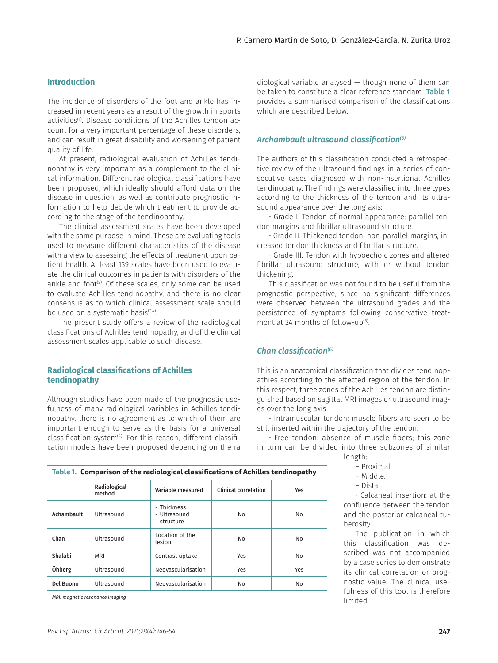## **Introduction**

The incidence of disorders of the foot and ankle has increased in recent years as a result of the growth in sports activities<sup>(1)</sup>. Disease conditions of the Achilles tendon account for a very important percentage of these disorders, and can result in great disability and worsening of patient quality of life.

At present, radiological evaluation of Achilles tendinopathy is very important as a complement to the clinical information. Different radiological classifications have been proposed, which ideally should afford data on the disease in question, as well as contribute prognostic information to help decide which treatment to provide according to the stage of the tendinopathy.

The clinical assessment scales have been developed with the same purpose in mind. These are evaluating tools used to measure different characteristics of the disease with a view to assessing the effects of treatment upon patient health. At least 139 scales have been used to evaluate the clinical outcomes in patients with disorders of the ankle and foot $(2)$ . Of these scales, only some can be used to evaluate Achilles tendinopathy, and there is no clear consensus as to which clinical assessment scale should be used on a systematic basis<sup>(3,4)</sup>.

The present study offers a review of the radiological classifications of Achilles tendinopathy, and of the clinical assessment scales applicable to such disease.

## **Radiological classifications of Achilles tendinopathy**

Although studies have been made of the prognostic usefulness of many radiological variables in Achilles tendinopathy, there is no agreement as to which of them are important enough to serve as the basis for a universal classification system<sup>(4)</sup>. For this reason, different classification models have been proposed depending on the ra diological variable analysed  $-$  though none of them can be taken to constitute a clear reference standard. Table 1 provides a summarised comparison of the classifications which are described below.

## *Archambault ultrasound classification(5)*

The authors of this classification conducted a retrospective review of the ultrasound findings in a series of consecutive cases diagnosed with non-insertional Achilles tendinopathy. The findings were classified into three types according to the thickness of the tendon and its ultrasound appearance over the long axis:

• Grade I. Tendon of normal appearance: parallel tendon margins and fibrillar ultrasound structure.

• Grade II. Thickened tendon: non-parallel margins, increased tendon thickness and fibrillar structure.

• Grade III. Tendon with hypoechoic zones and altered fibrillar ultrasound structure, with or without tendon thickening.

This classification was not found to be useful from the prognostic perspective, since no significant differences were observed between the ultrasound grades and the persistence of symptoms following conservative treatment at 24 months of follow-up<sup>(5)</sup>.

#### *Chan classification(6)*

This is an anatomical classification that divides tendinopathies according to the affected region of the tendon. In this respect, three zones of the Achilles tendon are distinguished based on sagittal MRI images or ultrasound images over the long axis:

• Intramuscular tendon: muscle fibers are seen to be still inserted within the trajectory of the tendon.

• Free tendon: absence of muscle fibers; this zone in turn can be divided into three subzones of similar length:

| Proximal. |
|-----------|

– Middle.

• Calcaneal insertion: at the

confluence between the tendon and the posterior calcaneal tuberosity.

The publication in which this classification was described was not accompanied by a case series to demonstrate its clinical correlation or prognostic value. The clinical usefulness of this tool is therefore limited.

| Table 1. Comparison of the radiological classifications of Achilles tendinopathy |
|----------------------------------------------------------------------------------|
|                                                                                  |

|                                 | Radiological<br>method | Variable measured                        | <b>Clinical correlation</b> | <b>Yes</b>     |
|---------------------------------|------------------------|------------------------------------------|-----------------------------|----------------|
| Achambault                      | Ultrasound             | • Thickness<br>• Ultrasound<br>structure | No                          | No             |
| Chan                            | Ultrasound             | Location of the<br>lesion                | No                          | No             |
| Shalabi                         | <b>MRI</b>             | Contrast uptake                          | Yes                         | N <sub>0</sub> |
| Öhberg                          | Ultrasound             | Neovascularisation                       | Yes                         | Yes            |
| Del Buono                       | Ultrasound             | Neovascularisation                       | No                          | N <sub>0</sub> |
| MRI: magnetic resonance imaging |                        |                                          |                             |                |

<sup>–</sup> Distal.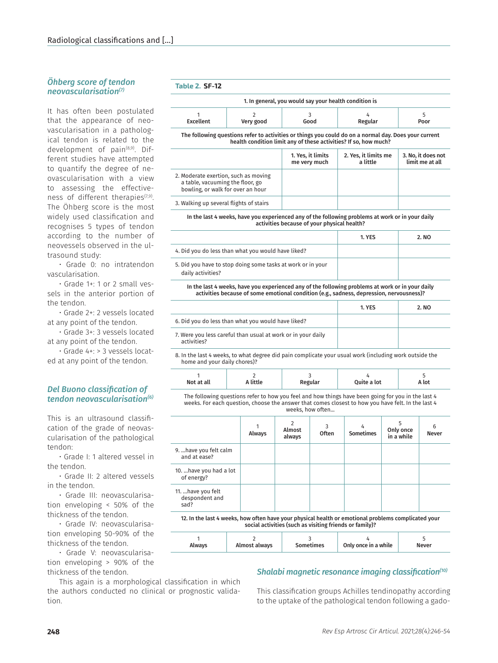## *Öhberg score of tendon neovascularisation(7)*

It has often been postulated that the appearance of neovascularisation in a pathological tendon is related to the development of pain<sup>(8,9)</sup>. Different studies have attempted to quantify the degree of neovascularisation with a view to assessing the effectiveness of different therapies<sup>(7,9)</sup>. The Öhberg score is the most widely used classification and recognises 5 types of tendon according to the number of neovessels observed in the ultrasound study:

• Grade 0: no intratendon vascularisation.

• Grade 1+: 1 or 2 small vessels in the anterior portion of the tendon.

• Grade 2+: 2 vessels located at any point of the tendon.

• Grade 3+: 3 vessels located at any point of the tendon.

• Grade 4+: > 3 vessels located at any point of the tendon.

## *Del Buono classification of tendon neovascularisation(6)*

This is an ultrasound classification of the grade of neovascularisation of the pathological tendon:

• Grade I: 1 altered vessel in the tendon.

• Grade II: 2 altered vessels in the tendon.

• Grade III: neovascularisation enveloping < 50% of the thickness of the tendon.

• Grade IV: neovascularisation enveloping 50-90% of the thickness of the tendon.

• Grade V: neovascularisation enveloping > 90% of the thickness of the tendon.

This again is a morphological classification in which the authors conducted no clinical or prognostic validation.

## **Table 2. SF-12**

|           |           | 1. In general, you would say your health condition is |         |      |
|-----------|-----------|-------------------------------------------------------|---------|------|
|           |           |                                                       |         |      |
| Excellent | Very good | Good                                                  | Regular | Poor |

The following questions refer to activities or things you could do on a normal day. Does your current health condition limit any of these activities? If so, how much?

|                                                                                                               | 1. Yes, it limits<br>me very much | 2. Yes, it limits me<br>a little | 3. No, it does not<br>limit me at all |
|---------------------------------------------------------------------------------------------------------------|-----------------------------------|----------------------------------|---------------------------------------|
| 2. Moderate exertion, such as moving<br>a table, vacuuming the floor, go<br>bowling, or walk for over an hour |                                   |                                  |                                       |
| 3. Walking up several flights of stairs                                                                       |                                   |                                  |                                       |

In the last 4 weeks, have you experienced any of the following problems at work or in your daily activities because of your physical health?

|                                                                                  | 1. YES | 2. NO |
|----------------------------------------------------------------------------------|--------|-------|
| 4. Did you do less than what you would have liked?                               |        |       |
| 5. Did you have to stop doing some tasks at work or in your<br>daily activities? |        |       |

In the last 4 weeks, have you experienced any of the following problems at work or in your daily activities because of some emotional condition (e.g., sadness, depression, nervousness)?

|                                                                             | 1. YES | 2. NO |
|-----------------------------------------------------------------------------|--------|-------|
| 6. Did you do less than what you would have liked?                          |        |       |
| 7. Were you less careful than usual at work or in your daily<br>activities? |        |       |

8. In the last 4 weeks, to what degree did pain complicate your usual work (including work outside the home and your daily chores)?

| Not at all<br>a little<br>Quite a lot<br>Regular | A lot |
|--------------------------------------------------|-------|
|--------------------------------------------------|-------|

The following questions refer to how you feel and how things have been going for you in the last 4 weeks. For each question, choose the answer that comes closest to how you have felt. In the last 4 weeks, how often...

|                                                                                                     | Always | 2<br>Almost<br>always | 3<br><b>Often</b> | 4<br><b>Sometimes</b> | Only once<br>in a while | 6<br><b>Never</b> |
|-----------------------------------------------------------------------------------------------------|--------|-----------------------|-------------------|-----------------------|-------------------------|-------------------|
| 9.  have you felt calm<br>and at ease?                                                              |        |                       |                   |                       |                         |                   |
| 10.  have you had a lot<br>of energy?                                                               |        |                       |                   |                       |                         |                   |
| 11.  have you felt<br>despondent and<br>sad?                                                        |        |                       |                   |                       |                         |                   |
| 12. In the last 4 weeks, how often have your physical health or emotional problems complicated your |        |                       |                   |                       |                         |                   |

social activities (such as visiting friends or family)? 1 Always 2 Almost always 3 Sometimes 4 Only once in a while 5 Never

## *Shalabi magnetic resonance imaging classification(10)*

This classification groups Achilles tendinopathy according to the uptake of the pathological tendon following a gado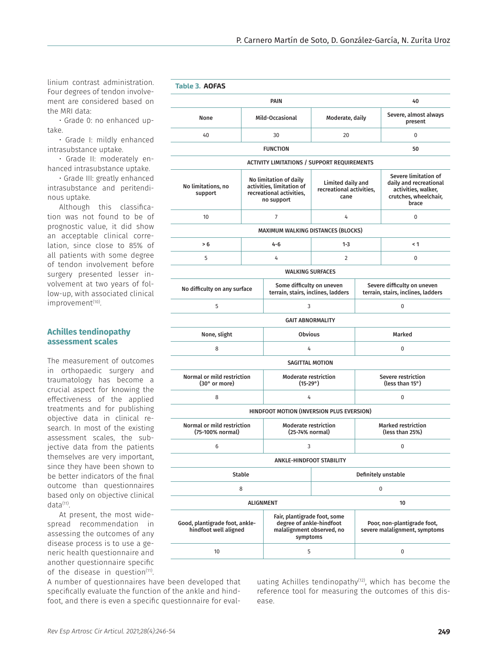linium contrast administration. Four degrees of tendon involvement are considered based on the MRI data:

• Grade 0: no enhanced uptake.

• Grade I: mildly enhanced intrasubstance uptake.

• Grade II: moderately enhanced intrasubstance uptake.

• Grade III: greatly enhanced intrasubstance and peritendinous uptake.

Although this classification was not found to be of prognostic value, it did show an acceptable clinical correlation, since close to 85% of all patients with some degree of tendon involvement before surgery presented lesser involvement at two years of follow-up, with associated clinical improvement<sup>(10)</sup>.

## **Achilles tendinopathy assessment scales**

The measurement of outcomes in orthopaedic surgery and traumatology has become a crucial aspect for knowing the effectiveness of the applied treatments and for publishing objective data in clinical research. In most of the existing assessment scales, the subjective data from the patients themselves are very important, since they have been shown to be better indicators of the final outcome than questionnaires based only on objective clinical  $data<sup>(11)</sup>$ .

At present, the most widespread recommendation in assessing the outcomes of any disease process is to use a generic health questionnaire and another questionnaire specific of the disease in question<sup>(11)</sup>.

A number of questionnaires have been developed that specifically evaluate the function of the ankle and hindfoot, and there is even a specific questionnaire for eval-

| <b>Table 3. AOFAS</b>                                   |                  |                                                                                                   |                                                                 |                                       |                                                                                                         |  |
|---------------------------------------------------------|------------------|---------------------------------------------------------------------------------------------------|-----------------------------------------------------------------|---------------------------------------|---------------------------------------------------------------------------------------------------------|--|
|                                                         |                  | PAIN                                                                                              |                                                                 |                                       | 40                                                                                                      |  |
| None                                                    |                  | Mild-Occasional                                                                                   | Moderate, daily                                                 |                                       | Severe, almost always<br>present                                                                        |  |
| 40                                                      |                  | 30                                                                                                | 20                                                              |                                       | $\Omega$                                                                                                |  |
|                                                         |                  | <b>FUNCTION</b>                                                                                   |                                                                 |                                       | 50                                                                                                      |  |
|                                                         |                  | <b>ACTIVITY LIMITATIONS / SUPPORT REQUIREMENTS</b>                                                |                                                                 |                                       |                                                                                                         |  |
| No limitations, no<br>support                           |                  | No limitation of daily<br>activities. limitation of<br>recreational activities.<br>no support     | Limited daily and<br>recreational activities,<br>cane           |                                       | Severe limitation of<br>daily and recreational<br>activities, walker,<br>crutches, wheelchair,<br>brace |  |
| 10                                                      |                  | $\overline{7}$                                                                                    | 4                                                               |                                       | $\Omega$                                                                                                |  |
|                                                         |                  | MAXIMUM WALKING DISTANCES (BLOCKS)                                                                |                                                                 |                                       |                                                                                                         |  |
| > 6                                                     |                  | $4 - 6$                                                                                           | $1 - 3$                                                         |                                       | < 1                                                                                                     |  |
| 5                                                       |                  | 4                                                                                                 | $\overline{2}$                                                  |                                       | 0                                                                                                       |  |
|                                                         |                  | <b>WALKING SURFACES</b>                                                                           |                                                                 |                                       |                                                                                                         |  |
| No difficulty on any surface                            |                  |                                                                                                   | Some difficulty on uneven<br>terrain, stairs, inclines, ladders |                                       | Severe difficulty on uneven<br>terrain, stairs, inclines, ladders                                       |  |
| 5                                                       |                  |                                                                                                   | 3                                                               |                                       | $\Omega$                                                                                                |  |
|                                                         |                  | <b>GAIT ABNORMALITY</b>                                                                           |                                                                 |                                       |                                                                                                         |  |
| None, slight                                            | <b>Obvious</b>   |                                                                                                   |                                                                 | Marked                                |                                                                                                         |  |
| 8                                                       | 4                |                                                                                                   |                                                                 | 0                                     |                                                                                                         |  |
|                                                         |                  | <b>SAGITTAL MOTION</b>                                                                            |                                                                 |                                       |                                                                                                         |  |
| Normal or mild restriction<br>(30° or more)             |                  | <b>Moderate restriction</b><br>$(15-29°)$                                                         |                                                                 | Severe restriction<br>(less than 15°) |                                                                                                         |  |
| 8                                                       |                  | 4                                                                                                 |                                                                 | 0                                     |                                                                                                         |  |
|                                                         |                  | HINDFOOT MOTION (INVERSION PLUS EVERSION)                                                         |                                                                 |                                       |                                                                                                         |  |
| <b>Normal or mild restriction</b><br>(75-100% normal)   |                  | <b>Moderate restriction</b><br>(25-74% normal)                                                    |                                                                 |                                       | <b>Marked restriction</b><br>(less than 25%)                                                            |  |
| 6                                                       |                  | 3                                                                                                 |                                                                 |                                       | 0                                                                                                       |  |
|                                                         |                  | <b>ANKLE-HINDFOOT STABILITY</b>                                                                   |                                                                 |                                       |                                                                                                         |  |
|                                                         | <b>Stable</b>    |                                                                                                   |                                                                 |                                       | Definitely unstable                                                                                     |  |
|                                                         | 8                |                                                                                                   |                                                                 |                                       | 0                                                                                                       |  |
|                                                         | <b>ALIGNMENT</b> |                                                                                                   |                                                                 |                                       | 10                                                                                                      |  |
| Good, plantigrade foot, ankle-<br>hindfoot well aligned |                  | Fair, plantigrade foot, some<br>degree of ankle-hindfoot<br>malalignment observed, no<br>symptoms |                                                                 |                                       | Poor, non-plantigrade foot,<br>severe malalignment, symptoms                                            |  |
| 10                                                      |                  | 5                                                                                                 |                                                                 |                                       | 0                                                                                                       |  |

uating Achilles tendinopathy<sup>(12)</sup>, which has become the reference tool for measuring the outcomes of this disease.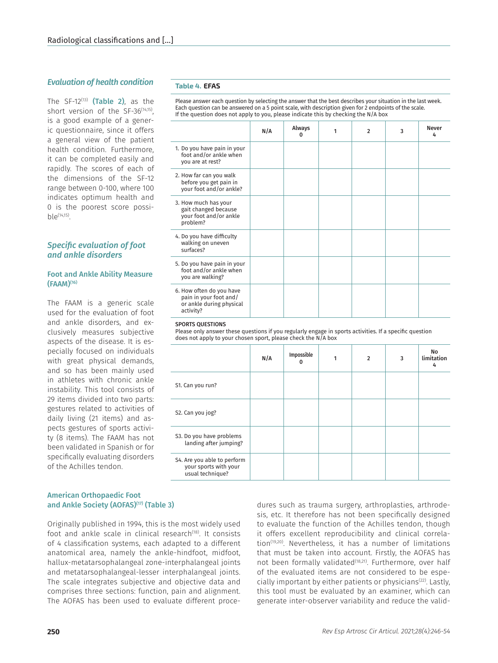## *Evaluation of health condition*

The  $SF-12^{(13)}$  (Table 2), as the short version of the SF-36<sup>(14,15)</sup>, is a good example of a generic questionnaire, since it offers a general view of the patient health condition. Furthermore, it can be completed easily and rapidly. The scores of each of the dimensions of the SF-12 range between 0-100, where 100 indicates optimum health and 0 is the poorest score possi $b|e^{(14,15)}$ .

## *Specific evaluation of foot and ankle disorders*

### Foot and Ankle Ability Measure (FAAM)(16)

The FAAM is a generic scale used for the evaluation of foot and ankle disorders, and exclusively measures subjective aspects of the disease. It is especially focused on individuals with great physical demands, and so has been mainly used in athletes with chronic ankle instability. This tool consists of 29 items divided into two parts: gestures related to activities of daily living (21 items) and aspects gestures of sports activity (8 items). The FAAM has not been validated in Spanish or for specifically evaluating disorders of the Achilles tendon.

#### **Table 4. EFAS**

Please answer each question by selecting the answer that the best describes your situation in the last week. Each question can be answered on a 5 point scale, with description given for 2 endpoints of the scale. If the question does not apply to you, please indicate this by checking the N/A box

|                                                                                             | N/A | Always<br>0 | 1 | $\mathfrak{p}$ | 3 | <b>Never</b><br>4 |
|---------------------------------------------------------------------------------------------|-----|-------------|---|----------------|---|-------------------|
| 1. Do you have pain in your<br>foot and/or ankle when<br>you are at rest?                   |     |             |   |                |   |                   |
| 2. How far can you walk<br>before you get pain in<br>your foot and/or ankle?                |     |             |   |                |   |                   |
| 3. How much has your<br>gait changed because<br>your foot and/or ankle<br>problem?          |     |             |   |                |   |                   |
| 4. Do you have difficulty<br>walking on uneven<br>surfaces?                                 |     |             |   |                |   |                   |
| 5. Do you have pain in your<br>foot and/or ankle when<br>you are walking?                   |     |             |   |                |   |                   |
| 6. How often do you have<br>pain in your foot and/<br>or ankle during physical<br>activity? |     |             |   |                |   |                   |

#### SPORTS QUESTIONS

Please only answer these questions if you regularly engage in sports activities. If a specific question does not apply to your chosen sport, please check the N/A box

| N/A | Impossible<br>0 | 1 | $\overline{2}$ | 3 | No<br>limitation<br>4 |  |
|-----|-----------------|---|----------------|---|-----------------------|--|
|     |                 |   |                |   |                       |  |
|     |                 |   |                |   |                       |  |
|     |                 |   |                |   |                       |  |
|     |                 |   |                |   |                       |  |
|     |                 |   |                |   |                       |  |

## American Orthopaedic Foot and Ankle Society (AOFAS)<sup>(17)</sup> (Table 3)

Originally published in 1994, this is the most widely used foot and ankle scale in clinical research<sup>(18)</sup>. It consists of 4 classification systems, each adapted to a different anatomical area, namely the ankle-hindfoot, midfoot, hallux-metatarsophalangeal zone-interphalangeal joints and metatarsophalangeal-lesser interphalangeal joints. The scale integrates subjective and objective data and comprises three sections: function, pain and alignment. The AOFAS has been used to evaluate different procedures such as trauma surgery, arthroplasties, arthrodesis, etc. It therefore has not been specifically designed to evaluate the function of the Achilles tendon, though it offers excellent reproducibility and clinical correlation $(19,20)$ . Nevertheless, it has a number of limitations that must be taken into account. Firstly, the AOFAS has not been formally validated<sup>(18,21)</sup>. Furthermore, over half of the evaluated items are not considered to be especially important by either patients or physicians<sup>(22)</sup>. Lastly, this tool must be evaluated by an examiner, which can generate inter-observer variability and reduce the valid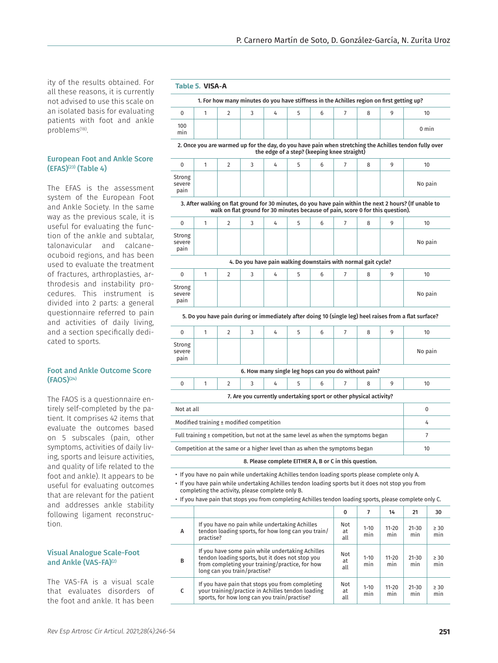ity of the results obtained. For all these reasons, it is currently not advised to use this scale on an isolated basis for evaluating patients with foot and ankle problems(18).

## European Foot and Ankle Score  $(EFAS)^{(23)}$  (Table 4)

The EFAS is the assessment system of the European Foot and Ankle Society. In the same way as the previous scale, it is useful for evaluating the function of the ankle and subtalar, talonavicular and calcaneocuboid regions, and has been used to evaluate the treatment of fractures, arthroplasties, arthrodesis and instability procedures. This instrument is divided into 2 parts: a general questionnaire referred to pain and activities of daily living, and a section specifically dedicated to sports.

#### Foot and Ankle Outcome Score (FAOS)(24)

The FAOS is a questionnaire entirely self-completed by the patient. It comprises 42 items that evaluate the outcomes based on 5 subscales (pain, other symptoms, activities of daily living, sports and leisure activities, and quality of life related to the foot and ankle). It appears to be useful for evaluating outcomes that are relevant for the patient and addresses ankle stability following ligament reconstruction.

## Visual Analogue Scale-Foot and Ankle (VAS-FA)<sup>(2)</sup>

The VAS-FA is a visual scale that evaluates disorders of the foot and ankle. It has been

#### **Table 5. VISA-A**

| 1. For how many minutes do you have stiffness in the Achilles region on first getting up? |  |  |  |  |  |  |  |  |  |                 |
|-------------------------------------------------------------------------------------------|--|--|--|--|--|--|--|--|--|-----------------|
|                                                                                           |  |  |  |  |  |  |  |  |  |                 |
| 100<br>min                                                                                |  |  |  |  |  |  |  |  |  | $0 \text{ min}$ |

#### 2. Once you are warmed up for the day, do you have pain when stretching the Achilles tendon fully over the edge of a step? (keeping knee straight)

|                                                                                                                                                                                            |  |  |  |  |  |  |  |  | 10      |
|--------------------------------------------------------------------------------------------------------------------------------------------------------------------------------------------|--|--|--|--|--|--|--|--|---------|
| Strong<br>severe<br>pain                                                                                                                                                                   |  |  |  |  |  |  |  |  | No pain |
| 3. After walking on flat ground for 30 minutes, do you have pain within the next 2 hours? (If unable to<br>walk on flat ground for 30 minutes because of pain, score 0 for this question). |  |  |  |  |  |  |  |  |         |

| $\mathbf 0$              | 2              | 3                                                              | 4 | 5 | 6 | 8 | 9 | 10      |
|--------------------------|----------------|----------------------------------------------------------------|---|---|---|---|---|---------|
| Strong<br>severe<br>pain |                |                                                                |   |   |   |   |   | No pain |
|                          |                | 4. Do you have pain walking downstairs with normal gait cycle? |   |   |   |   |   |         |
| $\mathbf 0$              | $\overline{2}$ | 3                                                              | 4 | 5 | 6 | 8 | 9 | 10      |
| Strong<br>severe<br>pain |                |                                                                |   |   |   |   |   | No pain |

5. Do you have pain during or immediately after doing 10 (single leg) heel raises from a flat surface?

| 0                        | $\mathcal{P}$ | 3                                                                  | 4 | 5 | 6 | 8 | 9 | 10      |
|--------------------------|---------------|--------------------------------------------------------------------|---|---|---|---|---|---------|
| Strong<br>severe<br>pain |               |                                                                    |   |   |   |   |   | No pain |
|                          |               | 6. How many single leg hops can you do without pain?               |   |   |   |   |   |         |
| $\Omega$                 | $\mathcal{P}$ | 3                                                                  | 4 | 5 | 6 | 8 | 9 | 10      |
|                          |               | 7. Are you currently undertaking sport or other physical activity? |   |   |   |   |   |         |
|                          |               |                                                                    |   |   |   |   |   |         |

| Not at all                                                                            |       |
|---------------------------------------------------------------------------------------|-------|
| Modified training $\pm$ modified competition                                          | $\mu$ |
| Full training $\pm$ competition, but not at the same level as when the symptoms began |       |
| Competition at the same or a higher level than as when the symptoms began             | 10    |

#### 8. Please complete EITHER A, B or C in this question.

- If you have no pain while undertaking Achilles tendon loading sports please complete only A.
- If you have pain while undertaking Achilles tendon loading sports but it does not stop you from completing the activity, please complete only B.
- If you have pain that stops you from completing Achilles tendon loading sports, please complete only C.

|   |                                                                                                                                                                                        | 0                |                 | 14               | 21               | 30               |
|---|----------------------------------------------------------------------------------------------------------------------------------------------------------------------------------------|------------------|-----------------|------------------|------------------|------------------|
| A | If you have no pain while undertaking Achilles<br>tendon loading sports, for how long can you train/<br>practise?                                                                      | Not<br>at<br>all | $1 - 10$<br>min | $11 - 20$<br>min | $21 - 30$<br>min | $\geq 30$<br>min |
| B | If you have some pain while undertaking Achilles<br>tendon loading sports, but it does not stop you<br>from completing your training/practice, for how<br>long can you train/practise? | Not<br>at<br>all | $1 - 10$<br>min | $11 - 20$<br>min | $21 - 30$<br>min | $\geq 30$<br>min |
|   | If you have pain that stops you from completing<br>your training/practice in Achilles tendon loading<br>sports, for how long can you train/practise?                                   | Not<br>at<br>all | $1 - 10$<br>min | $11 - 20$<br>min | $21 - 30$<br>min | $\geq 30$<br>min |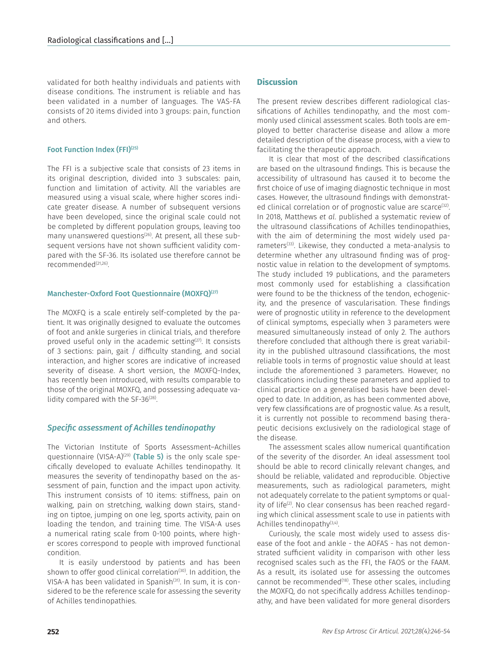validated for both healthy individuals and patients with disease conditions. The instrument is reliable and has been validated in a number of languages. The VAS-FA consists of 20 items divided into 3 groups: pain, function and others.

## Foot Function Index (FFI)<sup>(25)</sup>

The FFI is a subjective scale that consists of 23 items in its original description, divided into 3 subscales: pain, function and limitation of activity. All the variables are measured using a visual scale, where higher scores indicate greater disease. A number of subsequent versions have been developed, since the original scale could not be completed by different population groups, leaving too many unanswered questions<sup>(26)</sup>. At present, all these subsequent versions have not shown sufficient validity compared with the SF-36. Its isolated use therefore cannot be recommended<sup>(21,26)</sup>.

## Manchester-Oxford Foot Questionnaire (MOXFQ)<sup>(27)</sup>

The MOXFQ is a scale entirely self-completed by the patient. It was originally designed to evaluate the outcomes of foot and ankle surgeries in clinical trials, and therefore proved useful only in the academic setting $(27)$ . It consists of 3 sections: pain, gait / difficulty standing, and social interaction, and higher scores are indicative of increased severity of disease. A short version, the MOXFQ-Index, has recently been introduced, with results comparable to those of the original MOXFQ, and possessing adequate validity compared with the  $SF-36^{(28)}$ .

## *Specific assessment of Achilles tendinopathy*

The Victorian Institute of Sports Assessment–Achilles questionnaire (VISA-A)<sup>(29)</sup> (Table 5) is the only scale specifically developed to evaluate Achilles tendinopathy. It measures the severity of tendinopathy based on the assessment of pain, function and the impact upon activity. This instrument consists of 10 items: stiffness, pain on walking, pain on stretching, walking down stairs, standing on tiptoe, jumping on one leg, sports activity, pain on loading the tendon, and training time. The VISA-A uses a numerical rating scale from 0-100 points, where higher scores correspond to people with improved functional condition.

It is easily understood by patients and has been shown to offer good clinical correlation<sup>(30)</sup>. In addition, the VISA-A has been validated in Spanish<sup>(31)</sup>. In sum, it is considered to be the reference scale for assessing the severity of Achilles tendinopathies.

## **Discussion**

The present review describes different radiological classifications of Achilles tendinopathy, and the most commonly used clinical assessment scales. Both tools are employed to better characterise disease and allow a more detailed description of the disease process, with a view to facilitating the therapeutic approach.

It is clear that most of the described classifications are based on the ultrasound findings. This is because the accessibility of ultrasound has caused it to become the first choice of use of imaging diagnostic technique in most cases. However, the ultrasound findings with demonstrated clinical correlation or of prognostic value are scarce<sup>(32)</sup>. In 2018, Matthews *et al*. published a systematic review of the ultrasound classifications of Achilles tendinopathies, with the aim of determining the most widely used parameters<sup>(33)</sup>. Likewise, they conducted a meta-analysis to determine whether any ultrasound finding was of prognostic value in relation to the development of symptoms. The study included 19 publications, and the parameters most commonly used for establishing a classification were found to be the thickness of the tendon, echogenicity, and the presence of vascularisation. These findings were of prognostic utility in reference to the development of clinical symptoms, especially when 3 parameters were measured simultaneously instead of only 2. The authors therefore concluded that although there is great variability in the published ultrasound classifications, the most reliable tools in terms of prognostic value should at least include the aforementioned 3 parameters. However, no classifications including these parameters and applied to clinical practice on a generalised basis have been developed to date. In addition, as has been commented above, very few classifications are of prognostic value. As a result, it is currently not possible to recommend basing therapeutic decisions exclusively on the radiological stage of the disease.

The assessment scales allow numerical quantification of the severity of the disorder. An ideal assessment tool should be able to record clinically relevant changes, and should be reliable, validated and reproducible. Objective measurements, such as radiological parameters, might not adequately correlate to the patient symptoms or quality of life<sup>(2)</sup>. No clear consensus has been reached regarding which clinical assessment scale to use in patients with Achilles tendinopathy $(3,4)$ .

Curiously, the scale most widely used to assess disease of the foot and ankle - the AOFAS - has not demonstrated sufficient validity in comparison with other less recognised scales such as the FFI, the FAOS or the FAAM. As a result, its isolated use for assessing the outcomes cannot be recommended<sup>(18)</sup>. These other scales, including the MOXFQ, do not specifically address Achilles tendinopathy, and have been validated for more general disorders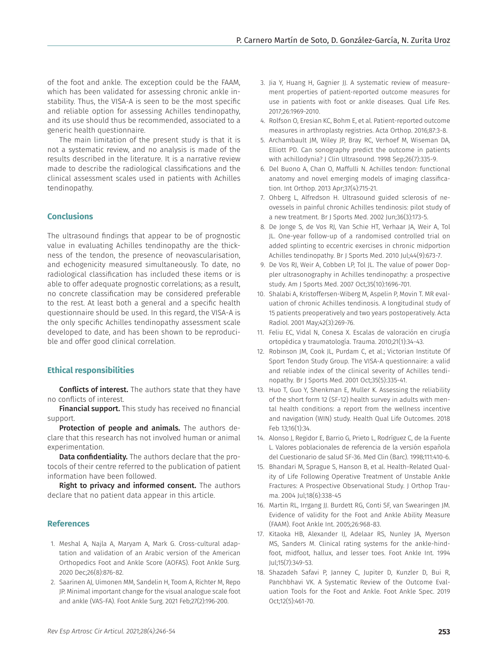of the foot and ankle. The exception could be the FAAM, which has been validated for assessing chronic ankle instability. Thus, the VISA-A is seen to be the most specific and reliable option for assessing Achilles tendinopathy, and its use should thus be recommended, associated to a generic health questionnaire.

The main limitation of the present study is that it is not a systematic review, and no analysis is made of the results described in the literature. It is a narrative review made to describe the radiological classifications and the clinical assessment scales used in patients with Achilles tendinopathy.

## **Conclusions**

The ultrasound findings that appear to be of prognostic value in evaluating Achilles tendinopathy are the thickness of the tendon, the presence of neovascularisation, and echogenicity measured simultaneously. To date, no radiological classification has included these items or is able to offer adequate prognostic correlations; as a result, no concrete classification may be considered preferable to the rest. At least both a general and a specific health questionnaire should be used. In this regard, the VISA-A is the only specific Achilles tendinopathy assessment scale developed to date, and has been shown to be reproducible and offer good clinical correlation.

## **Ethical responsibilities**

Conflicts of interest. The authors state that they have no conflicts of interest.

Financial support. This study has received no financial support.

Protection of people and animals. The authors declare that this research has not involved human or animal experimentation.

**Data confidentiality.** The authors declare that the protocols of their centre referred to the publication of patient information have been followed.

Right to privacy and informed consent. The authors declare that no patient data appear in this article.

#### **References**

- 1. Meshal A, Najla A, Maryam A, Mark G. Cross-cultural adaptation and validation of an Arabic version of the American Orthopedics Foot and Ankle Score (AOFAS). Foot Ankle Surg. 2020 Dec;26(8):876-82.
- 2. Saarinen AJ, Uimonen MM, Sandelin H, Toom A, Richter M, Repo JP. Minimal important change for the visual analogue scale foot and ankle (VAS-FA). Foot Ankle Surg. 2021 Feb;27(2):196-200.
- 3. Jia Y, Huang H, Gagnier JJ. A systematic review of measurement properties of patient-reported outcome measures for use in patients with foot or ankle diseases. Qual Life Res. 2017;26:1969-2010.
- 4. Rolfson O, Eresian KC, Bohm E, et al. Patient-reported outcome measures in arthroplasty registries. Acta Orthop. 2016;87:3-8.
- 5. Archambault JM, Wiley JP, Bray RC, Verhoef M, Wiseman DA, Elliott PD. Can sonography predict the outcome in patients with achillodynia? J Clin Ultrasound. 1998 Sep;26(7):335-9.
- 6. Del Buono A, Chan O, Maffulli N. Achilles tendon: functional anatomy and novel emerging models of imaging classification. Int Orthop. 2013 Apr;37(4):715-21.
- 7. Ohberg L, Alfredson H. Ultrasound guided sclerosis of neovessels in painful chronic Achilles tendinosis: pilot study of a new treatment. Br J Sports Med. 2002 Jun;36(3):173-5.
- 8. De Jonge S, de Vos RJ, Van Schie HT, Verhaar JA, Weir A, Tol JL. One-year follow-up of a randomised controlled trial on added splinting to eccentric exercises in chronic midportion Achilles tendinopathy. Br J Sports Med. 2010 Jul;44(9):673-7.
- 9. De Vos RJ, Weir A, Cobben LP, Tol JL. The value of power Doppler ultrasonography in Achilles tendinopathy: a prospective study. Am J Sports Med. 2007 Oct;35(10):1696-701.
- 10. Shalabi A, Kristoffersen-Wiberg M, Aspelin P, Movin T. MR evaluation of chronic Achilles tendinosis. A longitudinal study of 15 patients preoperatively and two years postoperatively. Acta Radiol. 2001 May;42(3):269-76.
- 11. Feliu EC, Vidal N, Conesa X. Escalas de valoración en cirugía ortopédica y traumatología. Trauma. 2010;21(1):34-43.
- 12. Robinson JM, Cook JL, Purdam C, et al.; Victorian Institute Of Sport Tendon Study Group. The VISA-A questionnaire: a valid and reliable index of the clinical severity of Achilles tendinopathy. Br J Sports Med. 2001 Oct;35(5):335-41.
- 13. Huo T, Guo Y, Shenkman E, Muller K. Assessing the reliability of the short form 12 (SF-12) health survey in adults with mental health conditions: a report from the wellness incentive and navigation (WIN) study. Health Qual Life Outcomes. 2018 Feb 13;16(1):34.
- 14. Alonso J, Regidor E, Barrio G, Prieto L, Rodríguez C, de la Fuente L. Valores poblacionales de referencia de la versión española del Cuestionario de salud SF-36. Med Clin (Barc). 1998;111:410-6.
- 15. Bhandari M, Sprague S, Hanson B, et al. Health-Related Quality of Life Following Operative Treatment of Unstable Ankle Fractures: A Prospective Observational Study. J Orthop Trauma. 2004 Jul;18(6):338-45
- 16. Martin RL, Irrgang JJ. Burdett RG, Conti SF, van Swearingen JM. Evidence of validity for the Foot and Ankle Ability Measure (FAAM). Foot Ankle Int. 2005;26:968-83.
- 17. Kitaoka HB, Alexander IJ, Adelaar RS, Nunley JA, Myerson MS, Sanders M. Clinical rating systems for the ankle-hindfoot, midfoot, hallux, and lesser toes. Foot Ankle Int. 1994 Jul;15(7):349-53.
- 18. Shazadeh Safavi P, Janney C, Jupiter D, Kunzler D, Bui R, Panchbhavi VK. A Systematic Review of the Outcome Evaluation Tools for the Foot and Ankle. Foot Ankle Spec. 2019 Oct;12(5):461-70.